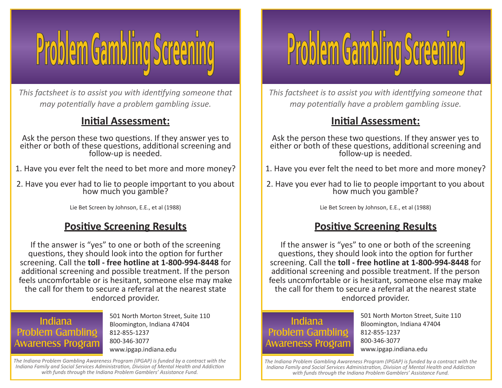

*This factsheet is to assist you with identifying someone that may potentially have a problem gambling issue.* 

## **Initial Assessment:**

Ask the person these two questions. If they answer yes to either or both of these questions, additional screening and<br>follow-up is needed.

- 1. Have you ever felt the need to bet more and more money?
- 2. Have you ever had to lie to people important to you about how much you gamble?

Lie Bet Screen by Johnson, E.E., et al (1988)

## **Positive Screening Results**

If the answer is "yes" to one or both of the screening questions, they should look into the option for further screening. Call the **toll - free hotline at 1-800-994-8448** for additional screening and possible treatment. If the person feels uncomfortable or is hesitant, someone else may make the call for them to secure a referral at the nearest state endorced provider.

### **Indiana Problem Gambling Awareness Program**

501 North Morton Street, Suite 110 Bloomington, Indiana 47404 812-855-1237 800-346-3077 www.ipgap.indiana.edu

*The Indiana Problem Gambling Awareness Program (IPGAP) is funded by a contract with the Indiana Family and Social Services Administration, Division of Mental Health and Addiction with funds through the Indiana Problem Gamblers' Assistance Fund.*



*This factsheet is to assist you with identifying someone that may potentially have a problem gambling issue.* 

## **Initial Assessment:**

Ask the person these two questions. If they answer yes to either or both of these questions, additional screening and<br>follow-up is needed.

- 1. Have you ever felt the need to bet more and more money?
- 2. Have you ever had to lie to people important to you about how much you gamble?

Lie Bet Screen by Johnson, E.E., et al (1988)

## **Positive Screening Results**

If the answer is "yes" to one or both of the screening questions, they should look into the option for further screening. Call the **toll - free hotline at 1-800-994-8448** for additional screening and possible treatment. If the person feels uncomfortable or is hesitant, someone else may make the call for them to secure a referral at the nearest state endorced provider.

## **Indiana Problem Gambling Awareness Program**

501 North Morton Street, Suite 110 Bloomington, Indiana 47404 812-855-1237 800-346-3077 www.ipgap.indiana.edu

*The Indiana Problem Gambling Awareness Program (IPGAP) is funded by a contract with the Indiana Family and Social Services Administration, Division of Mental Health and Addiction with funds through the Indiana Problem Gamblers' Assistance Fund.*